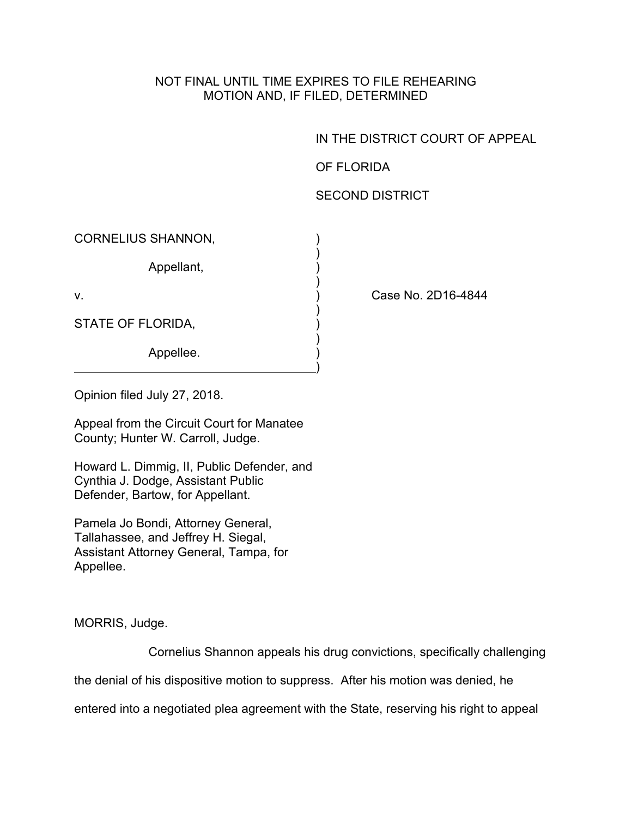## NOT FINAL UNTIL TIME EXPIRES TO FILE REHEARING MOTION AND, IF FILED, DETERMINED

IN THE DISTRICT COURT OF APPEAL

OF FLORIDA

## SECOND DISTRICT

| <b>CORNELIUS SHANNON,</b> |  |
|---------------------------|--|
| Appellant,                |  |
| V.                        |  |
| STATE OF FLORIDA,         |  |
| Appellee.                 |  |

Case No. 2D16-4844

Opinion filed July 27, 2018.

Appeal from the Circuit Court for Manatee County; Hunter W. Carroll, Judge.

Howard L. Dimmig, II, Public Defender, and Cynthia J. Dodge, Assistant Public Defender, Bartow, for Appellant.

Pamela Jo Bondi, Attorney General, Tallahassee, and Jeffrey H. Siegal, Assistant Attorney General, Tampa, for Appellee.

MORRIS, Judge.

Cornelius Shannon appeals his drug convictions, specifically challenging

the denial of his dispositive motion to suppress. After his motion was denied, he

entered into a negotiated plea agreement with the State, reserving his right to appeal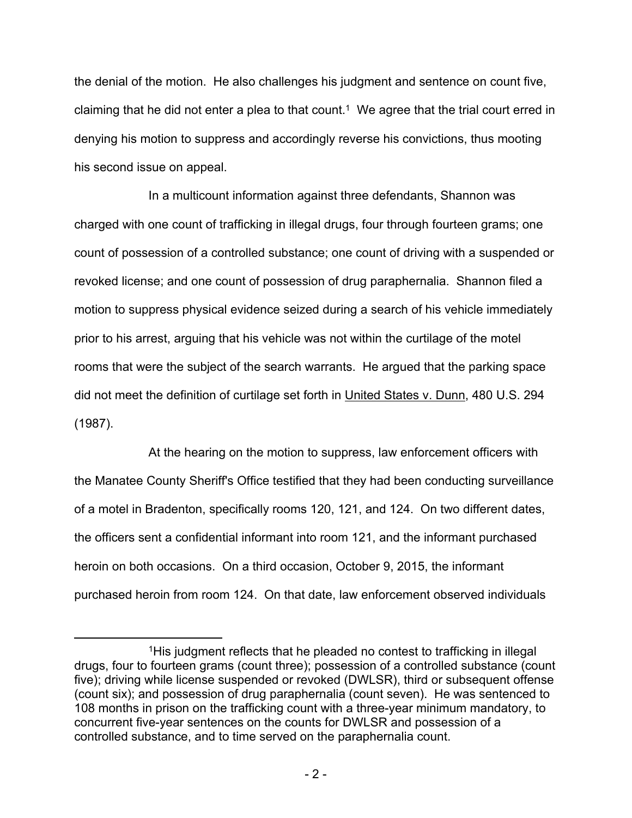the denial of the motion. He also challenges his judgment and sentence on count five, claiming that he did not enter a plea to that count.<sup>1</sup> We agree that the trial court erred in denying his motion to suppress and accordingly reverse his convictions, thus mooting his second issue on appeal.

In a multicount information against three defendants, Shannon was charged with one count of trafficking in illegal drugs, four through fourteen grams; one count of possession of a controlled substance; one count of driving with a suspended or revoked license; and one count of possession of drug paraphernalia. Shannon filed a motion to suppress physical evidence seized during a search of his vehicle immediately prior to his arrest, arguing that his vehicle was not within the curtilage of the motel rooms that were the subject of the search warrants. He argued that the parking space did not meet the definition of curtilage set forth in United States v. Dunn, 480 U.S. 294 (1987).

At the hearing on the motion to suppress, law enforcement officers with the Manatee County Sheriff's Office testified that they had been conducting surveillance of a motel in Bradenton, specifically rooms 120, 121, and 124. On two different dates, the officers sent a confidential informant into room 121, and the informant purchased heroin on both occasions. On a third occasion, October 9, 2015, the informant purchased heroin from room 124. On that date, law enforcement observed individuals

<sup>1</sup>His judgment reflects that he pleaded no contest to trafficking in illegal drugs, four to fourteen grams (count three); possession of a controlled substance (count five); driving while license suspended or revoked (DWLSR), third or subsequent offense (count six); and possession of drug paraphernalia (count seven). He was sentenced to 108 months in prison on the trafficking count with a three-year minimum mandatory, to concurrent five-year sentences on the counts for DWLSR and possession of a controlled substance, and to time served on the paraphernalia count.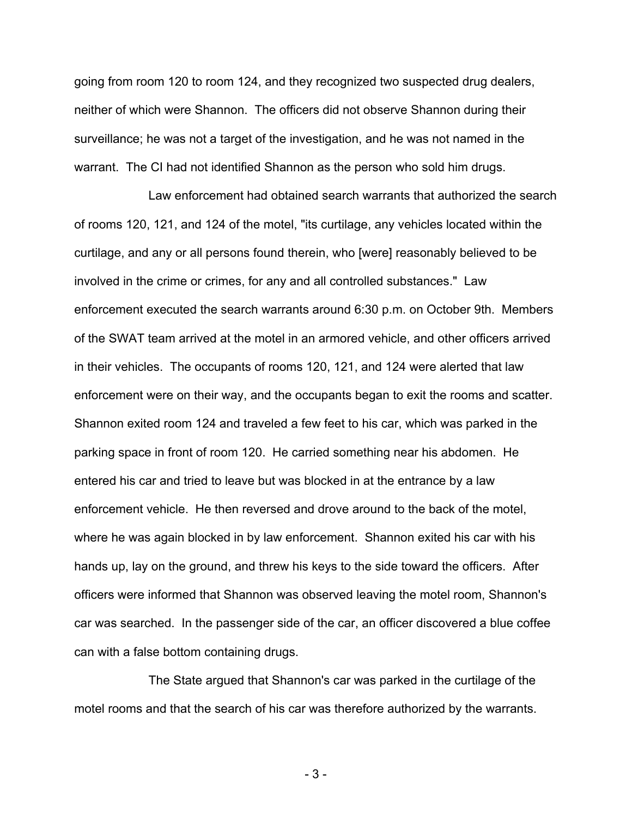going from room 120 to room 124, and they recognized two suspected drug dealers, neither of which were Shannon. The officers did not observe Shannon during their surveillance; he was not a target of the investigation, and he was not named in the warrant. The CI had not identified Shannon as the person who sold him drugs.

Law enforcement had obtained search warrants that authorized the search of rooms 120, 121, and 124 of the motel, "its curtilage, any vehicles located within the curtilage, and any or all persons found therein, who [were] reasonably believed to be involved in the crime or crimes, for any and all controlled substances." Law enforcement executed the search warrants around 6:30 p.m. on October 9th. Members of the SWAT team arrived at the motel in an armored vehicle, and other officers arrived in their vehicles. The occupants of rooms 120, 121, and 124 were alerted that law enforcement were on their way, and the occupants began to exit the rooms and scatter. Shannon exited room 124 and traveled a few feet to his car, which was parked in the parking space in front of room 120. He carried something near his abdomen. He entered his car and tried to leave but was blocked in at the entrance by a law enforcement vehicle. He then reversed and drove around to the back of the motel, where he was again blocked in by law enforcement. Shannon exited his car with his hands up, lay on the ground, and threw his keys to the side toward the officers. After officers were informed that Shannon was observed leaving the motel room, Shannon's car was searched. In the passenger side of the car, an officer discovered a blue coffee can with a false bottom containing drugs.

The State argued that Shannon's car was parked in the curtilage of the motel rooms and that the search of his car was therefore authorized by the warrants.

- 3 -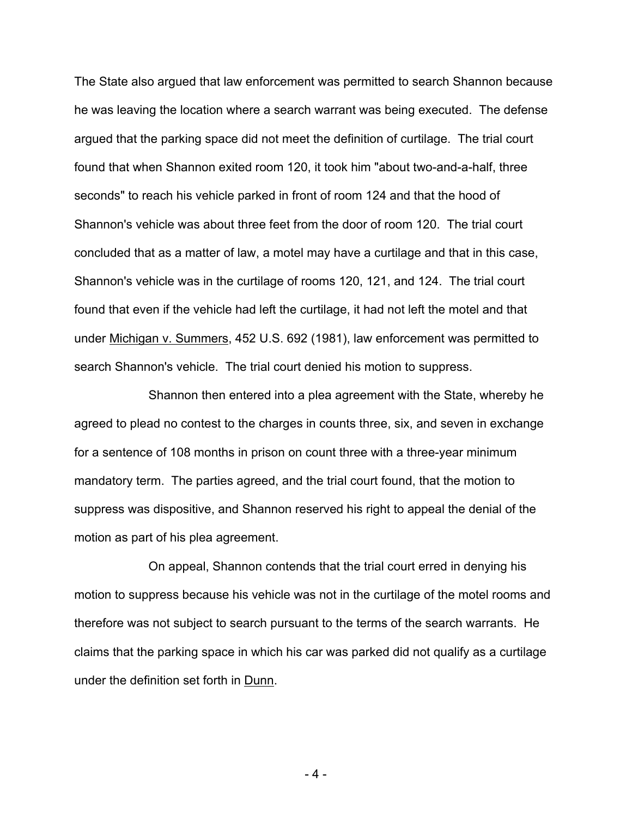The State also argued that law enforcement was permitted to search Shannon because he was leaving the location where a search warrant was being executed. The defense argued that the parking space did not meet the definition of curtilage. The trial court found that when Shannon exited room 120, it took him "about two-and-a-half, three seconds" to reach his vehicle parked in front of room 124 and that the hood of Shannon's vehicle was about three feet from the door of room 120. The trial court concluded that as a matter of law, a motel may have a curtilage and that in this case, Shannon's vehicle was in the curtilage of rooms 120, 121, and 124. The trial court found that even if the vehicle had left the curtilage, it had not left the motel and that under Michigan v. Summers, 452 U.S. 692 (1981), law enforcement was permitted to search Shannon's vehicle. The trial court denied his motion to suppress.

Shannon then entered into a plea agreement with the State, whereby he agreed to plead no contest to the charges in counts three, six, and seven in exchange for a sentence of 108 months in prison on count three with a three-year minimum mandatory term. The parties agreed, and the trial court found, that the motion to suppress was dispositive, and Shannon reserved his right to appeal the denial of the motion as part of his plea agreement.

On appeal, Shannon contends that the trial court erred in denying his motion to suppress because his vehicle was not in the curtilage of the motel rooms and therefore was not subject to search pursuant to the terms of the search warrants. He claims that the parking space in which his car was parked did not qualify as a curtilage under the definition set forth in Dunn.

- 4 -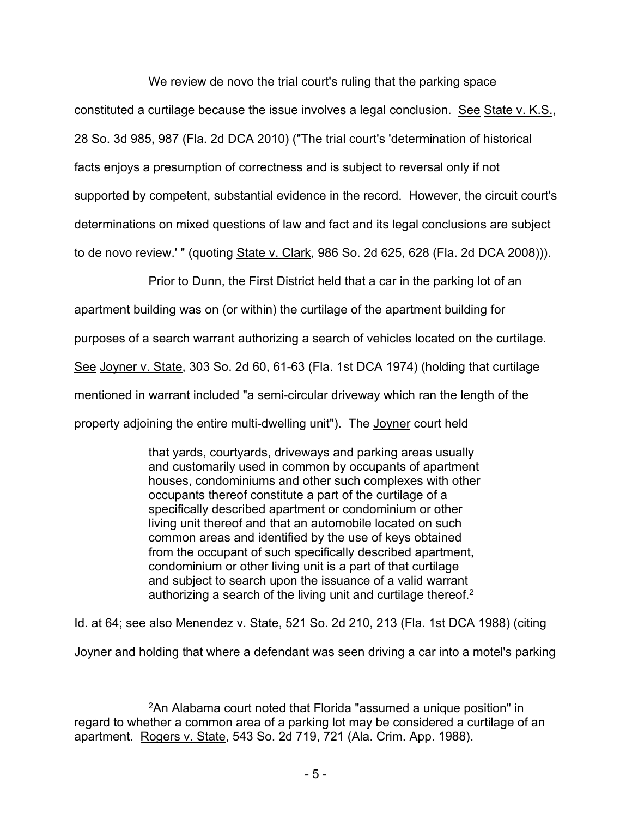We review de novo the trial court's ruling that the parking space

constituted a curtilage because the issue involves a legal conclusion. See State v. K.S., 28 So. 3d 985, 987 (Fla. 2d DCA 2010) ("The trial court's 'determination of historical facts enjoys a presumption of correctness and is subject to reversal only if not supported by competent, substantial evidence in the record. However, the circuit court's determinations on mixed questions of law and fact and its legal conclusions are subject to de novo review.' " (quoting State v. Clark, 986 So. 2d 625, 628 (Fla. 2d DCA 2008))).

Prior to **Dunn**, the First District held that a car in the parking lot of an

apartment building was on (or within) the curtilage of the apartment building for

purposes of a search warrant authorizing a search of vehicles located on the curtilage.

See Joyner v. State, 303 So. 2d 60, 61-63 (Fla. 1st DCA 1974) (holding that curtilage

mentioned in warrant included "a semi-circular driveway which ran the length of the

property adjoining the entire multi-dwelling unit"). The Joyner court held

that yards, courtyards, driveways and parking areas usually and customarily used in common by occupants of apartment houses, condominiums and other such complexes with other occupants thereof constitute a part of the curtilage of a specifically described apartment or condominium or other living unit thereof and that an automobile located on such common areas and identified by the use of keys obtained from the occupant of such specifically described apartment, condominium or other living unit is a part of that curtilage and subject to search upon the issuance of a valid warrant authorizing a search of the living unit and curtilage thereof.<sup>2</sup>

Id. at 64; see also Menendez v. State, 521 So. 2d 210, 213 (Fla. 1st DCA 1988) (citing

Joyner and holding that where a defendant was seen driving a car into a motel's parking

<sup>2</sup>An Alabama court noted that Florida "assumed a unique position" in regard to whether a common area of a parking lot may be considered a curtilage of an apartment. Rogers v. State, 543 So. 2d 719, 721 (Ala. Crim. App. 1988).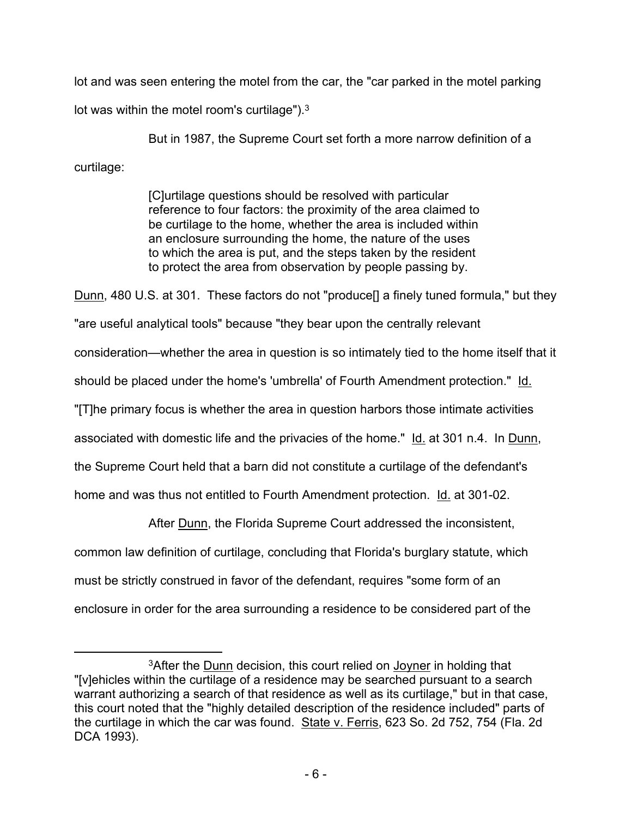lot and was seen entering the motel from the car, the "car parked in the motel parking lot was within the motel room's curtilage"). $3$ 

But in 1987, the Supreme Court set forth a more narrow definition of a curtilage:

> [C]urtilage questions should be resolved with particular reference to four factors: the proximity of the area claimed to be curtilage to the home, whether the area is included within an enclosure surrounding the home, the nature of the uses to which the area is put, and the steps taken by the resident to protect the area from observation by people passing by.

Dunn, 480 U.S. at 301. These factors do not "produce[] a finely tuned formula," but they "are useful analytical tools" because "they bear upon the centrally relevant consideration—whether the area in question is so intimately tied to the home itself that it should be placed under the home's 'umbrella' of Fourth Amendment protection." Id. "[T]he primary focus is whether the area in question harbors those intimate activities associated with domestic life and the privacies of the home." Id. at 301 n.4. In Dunn, the Supreme Court held that a barn did not constitute a curtilage of the defendant's home and was thus not entitled to Fourth Amendment protection. Id. at 301-02.

After Dunn, the Florida Supreme Court addressed the inconsistent,

common law definition of curtilage, concluding that Florida's burglary statute, which

must be strictly construed in favor of the defendant, requires "some form of an

enclosure in order for the area surrounding a residence to be considered part of the

<sup>3</sup>After the Dunn decision, this court relied on Joyner in holding that "[v]ehicles within the curtilage of a residence may be searched pursuant to a search warrant authorizing a search of that residence as well as its curtilage," but in that case, this court noted that the "highly detailed description of the residence included" parts of the curtilage in which the car was found. State v. Ferris, 623 So. 2d 752, 754 (Fla. 2d DCA 1993).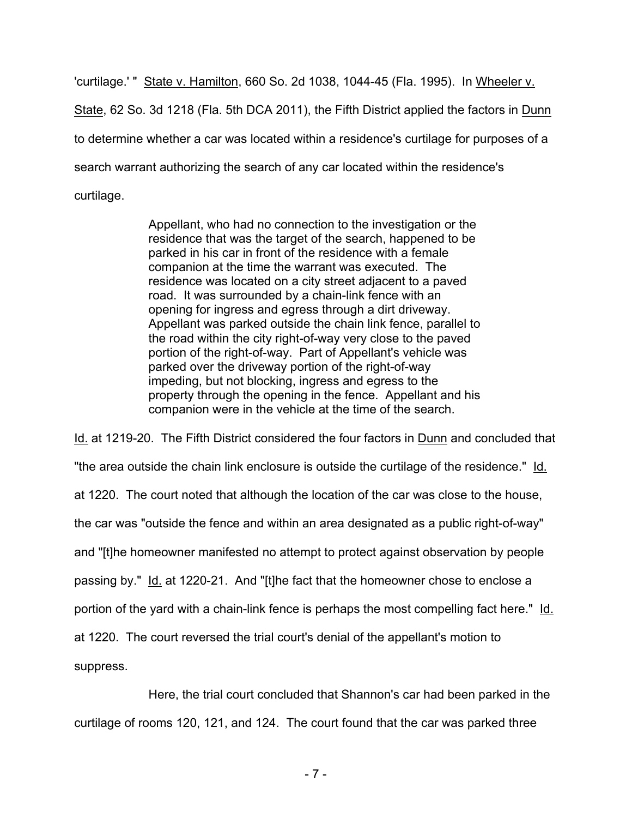'curtilage.' " State v. Hamilton, 660 So. 2d 1038, 1044-45 (Fla. 1995). In Wheeler v. State, 62 So. 3d 1218 (Fla. 5th DCA 2011), the Fifth District applied the factors in Dunn to determine whether a car was located within a residence's curtilage for purposes of a search warrant authorizing the search of any car located within the residence's curtilage.

> Appellant, who had no connection to the investigation or the residence that was the target of the search, happened to be parked in his car in front of the residence with a female companion at the time the warrant was executed. The residence was located on a city street adjacent to a paved road. It was surrounded by a chain-link fence with an opening for ingress and egress through a dirt driveway. Appellant was parked outside the chain link fence, parallel to the road within the city right-of-way very close to the paved portion of the right-of-way. Part of Appellant's vehicle was parked over the driveway portion of the right-of-way impeding, but not blocking, ingress and egress to the property through the opening in the fence. Appellant and his companion were in the vehicle at the time of the search.

Id. at 1219-20. The Fifth District considered the four factors in Dunn and concluded that "the area outside the chain link enclosure is outside the curtilage of the residence." Id. at 1220. The court noted that although the location of the car was close to the house, the car was "outside the fence and within an area designated as a public right-of-way" and "[t]he homeowner manifested no attempt to protect against observation by people passing by." Id. at 1220-21. And "[t]he fact that the homeowner chose to enclose a portion of the yard with a chain-link fence is perhaps the most compelling fact here." Id. at 1220. The court reversed the trial court's denial of the appellant's motion to suppress.

Here, the trial court concluded that Shannon's car had been parked in the curtilage of rooms 120, 121, and 124. The court found that the car was parked three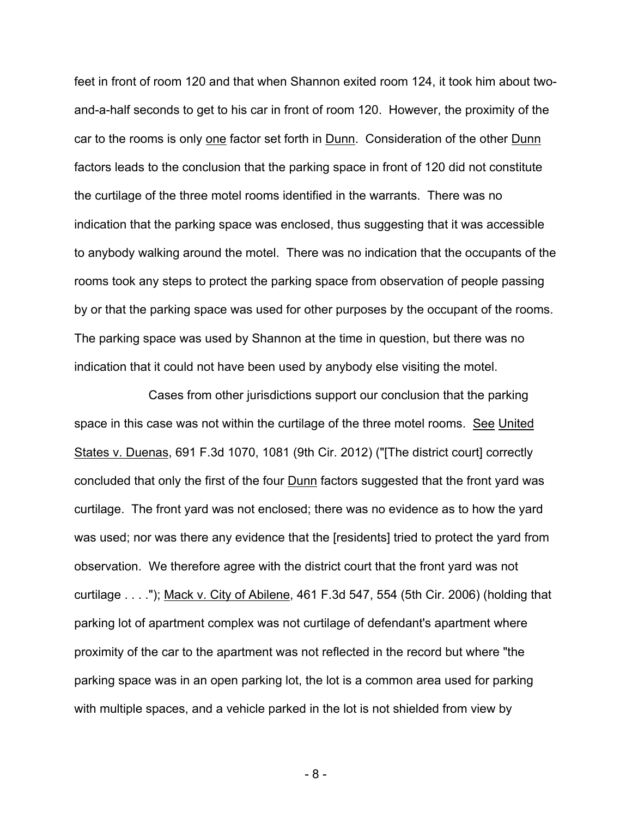feet in front of room 120 and that when Shannon exited room 124, it took him about twoand-a-half seconds to get to his car in front of room 120. However, the proximity of the car to the rooms is only one factor set forth in Dunn. Consideration of the other Dunn factors leads to the conclusion that the parking space in front of 120 did not constitute the curtilage of the three motel rooms identified in the warrants. There was no indication that the parking space was enclosed, thus suggesting that it was accessible to anybody walking around the motel. There was no indication that the occupants of the rooms took any steps to protect the parking space from observation of people passing by or that the parking space was used for other purposes by the occupant of the rooms. The parking space was used by Shannon at the time in question, but there was no indication that it could not have been used by anybody else visiting the motel.

Cases from other jurisdictions support our conclusion that the parking space in this case was not within the curtilage of the three motel rooms. See United States v. Duenas, 691 F.3d 1070, 1081 (9th Cir. 2012) ("[The district court] correctly concluded that only the first of the four Dunn factors suggested that the front yard was curtilage. The front yard was not enclosed; there was no evidence as to how the yard was used; nor was there any evidence that the [residents] tried to protect the yard from observation. We therefore agree with the district court that the front yard was not curtilage . . . ."); Mack v. City of Abilene, 461 F.3d 547, 554 (5th Cir. 2006) (holding that parking lot of apartment complex was not curtilage of defendant's apartment where proximity of the car to the apartment was not reflected in the record but where "the parking space was in an open parking lot, the lot is a common area used for parking with multiple spaces, and a vehicle parked in the lot is not shielded from view by

- 8 -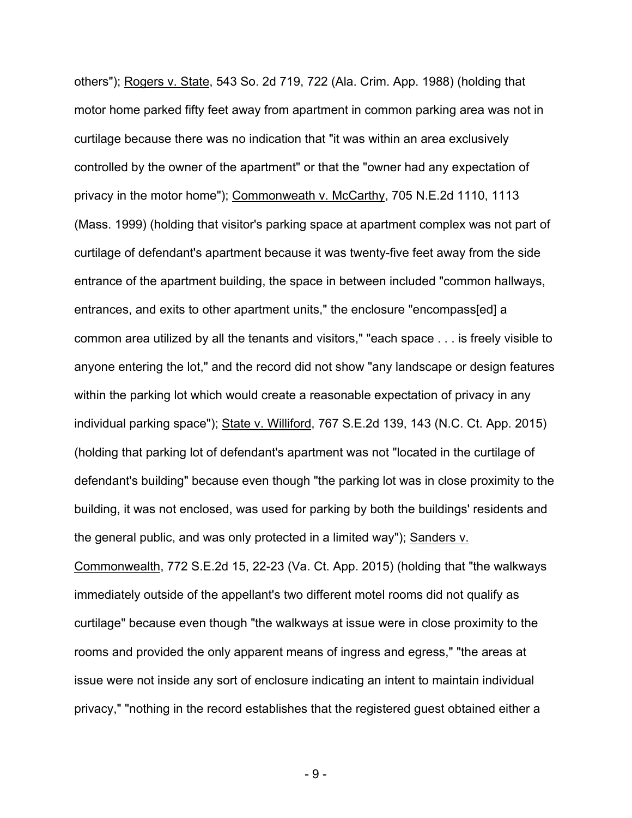others"); Rogers v. State, 543 So. 2d 719, 722 (Ala. Crim. App. 1988) (holding that motor home parked fifty feet away from apartment in common parking area was not in curtilage because there was no indication that "it was within an area exclusively controlled by the owner of the apartment" or that the "owner had any expectation of privacy in the motor home"); Commonweath v. McCarthy, 705 N.E.2d 1110, 1113 (Mass. 1999) (holding that visitor's parking space at apartment complex was not part of curtilage of defendant's apartment because it was twenty-five feet away from the side entrance of the apartment building, the space in between included "common hallways, entrances, and exits to other apartment units," the enclosure "encompass[ed] a common area utilized by all the tenants and visitors," "each space . . . is freely visible to anyone entering the lot," and the record did not show "any landscape or design features within the parking lot which would create a reasonable expectation of privacy in any individual parking space"); State v. Williford, 767 S.E.2d 139, 143 (N.C. Ct. App. 2015) (holding that parking lot of defendant's apartment was not "located in the curtilage of defendant's building" because even though "the parking lot was in close proximity to the building, it was not enclosed, was used for parking by both the buildings' residents and the general public, and was only protected in a limited way"); Sanders v.

Commonwealth, 772 S.E.2d 15, 22-23 (Va. Ct. App. 2015) (holding that "the walkways immediately outside of the appellant's two different motel rooms did not qualify as curtilage" because even though "the walkways at issue were in close proximity to the rooms and provided the only apparent means of ingress and egress," "the areas at issue were not inside any sort of enclosure indicating an intent to maintain individual privacy," "nothing in the record establishes that the registered guest obtained either a

- 9 -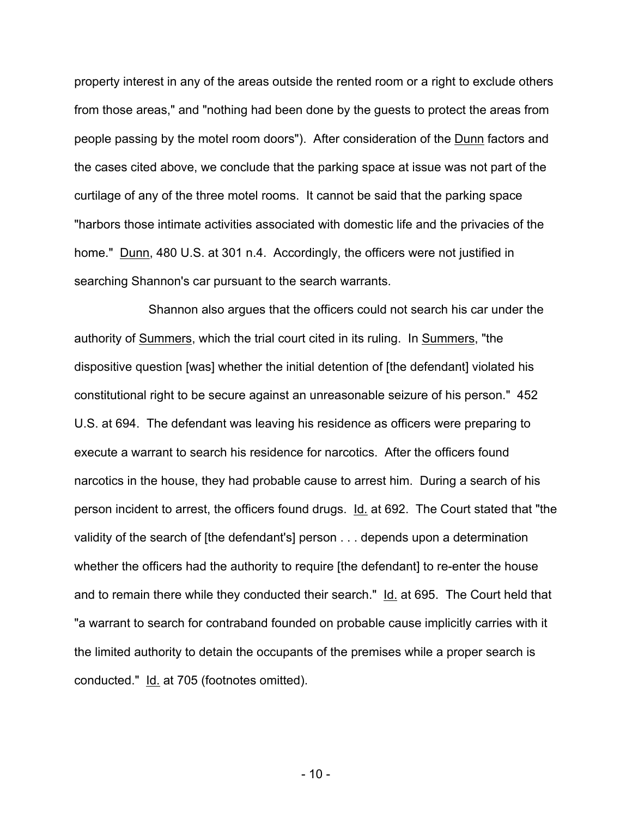property interest in any of the areas outside the rented room or a right to exclude others from those areas," and "nothing had been done by the guests to protect the areas from people passing by the motel room doors"). After consideration of the Dunn factors and the cases cited above, we conclude that the parking space at issue was not part of the curtilage of any of the three motel rooms. It cannot be said that the parking space "harbors those intimate activities associated with domestic life and the privacies of the home." Dunn, 480 U.S. at 301 n.4. Accordingly, the officers were not justified in searching Shannon's car pursuant to the search warrants.

Shannon also argues that the officers could not search his car under the authority of Summers, which the trial court cited in its ruling. In Summers, "the dispositive question [was] whether the initial detention of [the defendant] violated his constitutional right to be secure against an unreasonable seizure of his person." 452 U.S. at 694. The defendant was leaving his residence as officers were preparing to execute a warrant to search his residence for narcotics. After the officers found narcotics in the house, they had probable cause to arrest him. During a search of his person incident to arrest, the officers found drugs. Id. at 692. The Court stated that "the validity of the search of [the defendant's] person . . . depends upon a determination whether the officers had the authority to require [the defendant] to re-enter the house and to remain there while they conducted their search." Id. at 695. The Court held that "a warrant to search for contraband founded on probable cause implicitly carries with it the limited authority to detain the occupants of the premises while a proper search is conducted." Id. at 705 (footnotes omitted).